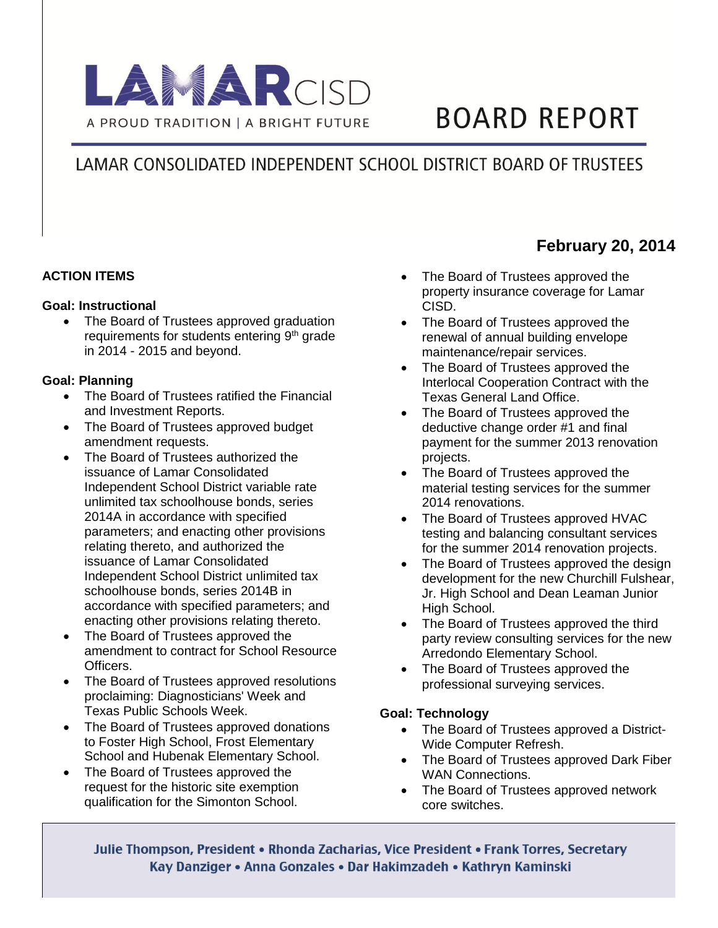

# **BOARD REPORT**

## LAMAR CONSOLIDATED INDEPENDENT SCHOOL DISTRICT BOARD OF TRUSTEES

#### **ACTION ITEMS**

#### **Goal: Instructional**

• The Board of Trustees approved graduation requirements for students entering 9<sup>th</sup> grade in 2014 - 2015 and beyond.

#### **Goal: Planning**

- The Board of Trustees ratified the Financial and Investment Reports.
- The Board of Trustees approved budget amendment requests.
- The Board of Trustees authorized the issuance of Lamar Consolidated Independent School District variable rate unlimited tax schoolhouse bonds, series 2014A in accordance with specified parameters; and enacting other provisions relating thereto, and authorized the issuance of Lamar Consolidated Independent School District unlimited tax schoolhouse bonds, series 2014B in accordance with specified parameters; and enacting other provisions relating thereto.
- The Board of Trustees approved the amendment to contract for School Resource Officers.
- The Board of Trustees approved resolutions proclaiming: Diagnosticians' Week and Texas Public Schools Week.
- The Board of Trustees approved donations to Foster High School, Frost Elementary School and Hubenak Elementary School.
- The Board of Trustees approved the request for the historic site exemption qualification for the Simonton School.
- The Board of Trustees approved the property insurance coverage for Lamar CISD.
- The Board of Trustees approved the renewal of annual building envelope maintenance/repair services.
- The Board of Trustees approved the Interlocal Cooperation Contract with the Texas General Land Office.
- The Board of Trustees approved the deductive change order #1 and final payment for the summer 2013 renovation projects.
- The Board of Trustees approved the material testing services for the summer 2014 renovations.
- The Board of Trustees approved HVAC testing and balancing consultant services for the summer 2014 renovation projects.
- The Board of Trustees approved the design development for the new Churchill Fulshear, Jr. High School and Dean Leaman Junior High School.
- The Board of Trustees approved the third party review consulting services for the new Arredondo Elementary School.
- The Board of Trustees approved the professional surveying services.

#### **Goal: Technology**

- The Board of Trustees approved a District-Wide Computer Refresh.
- The Board of Trustees approved Dark Fiber WAN Connections.
- The Board of Trustees approved network core switches.

Julie Thompson, President • Rhonda Zacharias, Vice President • Frank Torres, Secretary Kay Danziger • Anna Gonzales • Dar Hakimzadeh • Kathryn Kaminski

### **February 20, 2014**